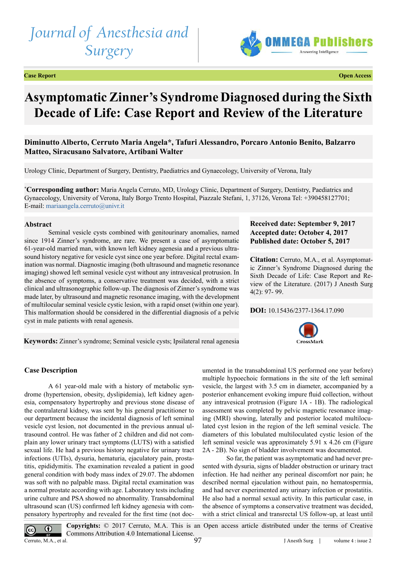# *Journal of Anesthesia and Surgery*



**Case Report Open Access**

# **Asymptomatic Zinner's Syndrome Diagnosed during the Sixth Decade of Life: Case Report and Review of the Literature**

# **Diminutto Alberto, Cerruto Maria Angela\*, Tafuri Alessandro, Porcaro Antonio Benito, Balzarro Matteo, Siracusano Salvatore, Artibani Walter**

Urology Clinic, Department of Surgery, Dentistry, Paediatrics and Gynaecology, University of Verona, Italy

**\* Corresponding author:** Maria Angela Cerruto, MD, Urology Clinic, Department of Surgery, Dentistry, Paediatrics and Gynaecology, University of Verona, Italy Borgo Trento Hospital, Piazzale Stefani, 1, 37126, Verona Tel: +390458127701; E-mail: [mariaangela.cerruto@univr.it](mailto:mariaangela.cerruto%40univr.it?subject=)

#### **Abstract**

Seminal vesicle cysts combined with genitourinary anomalies, named since 1914 Zinner's syndrome, are rare. We present a case of asymptomatic 61-year-old married man, with known left kidney agenesia and a previous ultrasound history negative for vesicle cyst since one year before. Digital rectal examination was normal. Diagnostic imaging (both ultrasound and magnetic resonance imaging) showed left seminal vesicle cyst without any intravesical protrusion. In the absence of symptoms, a conservative treatment was decided, with a strict clinical and ultrasonographic follow-up. The diagnosis of Zinner's syndrome was made later, by ultrasound and magnetic resonance imaging, with the development of multilocular seminal vesicle cystic lesion, with a rapid onset (within one year). This malformation should be considered in the differential diagnosis of a pelvic cyst in male patients with renal agenesis.

# **Received date: September 9, 2017 Accepted date: October 4, 2017 Published date: October 5, 2017**

**Citation:** Cerruto, M.A., et al. Asymptomatic Zinner's Syndrome Diagnosed during the Sixth Decade of Life: Case Report and Review of the Literature. (2017) J Anesth Surg 4(2): 97- 99.

#### **DOI:** [10.15436/2377-1364.17.09](https://doi.org/10.15436/2377-1364.17.090)0



**Keywords:** Zinner's syndrome; Seminal vesicle cysts; Ipsilateral renal agenesia

## **Case Description**

A 61 year-old male with a history of metabolic syndrome (hypertension, obesity, dyslipidemia), left kidney agenesia, compensatory hypertrophy and previous stone disease of the contralateral kidney, was sent by his general practitioner to our department because the incidental diagnosis of left seminal vesicle cyst lesion, not documented in the previous annual ultrasound control. He was father of 2 children and did not complain any lower urinary tract symptoms (LUTS) with a satisfied sexual life. He had a previous history negative for urinary tract infections (UTIs), dysuria, hematuria, ejaculatory pain, prostatitis, epididymitis. The examination revealed a patient in good general condition with body mass index of 29.07. The abdomen was soft with no palpable mass. Digital rectal examination was a normal prostate according with age. Laboratory tests including urine culture and PSA showed no abnormality. Transabdominal ultrasound scan (US) confirmed left kidney agenesia with compensatory hypertrophy and revealed for the first time (not documented in the transabdominal US performed one year before) multiple hypoechoic formations in the site of the left seminal vesicle, the largest with 3.5 cm in diameter, accompanied by a posterior enhancement evoking impure fluid collection, without any intravesical protrusion (Figure 1A - 1B). The radiological assessment was completed by pelvic magnetic resonance imaging (MRI) showing, laterally and posterior located multiloculated cyst lesion in the region of the left seminal vesicle. The diameters of this lobulated multiloculated cystic lesion of the left seminal vesicle was approximately 5.91 x 4.26 cm (Figure 2A - 2B). No sign of bladder involvement was documented.

So far, the patient was asymptomatic and had never presented with dysuria, signs of bladder obstruction or urinary tract infection. He had neither any perineal discomfort nor pain; he described normal ejaculation without pain, no hematospermia, and had never experimented any urinary infection or prostatitis. He also had a normal sexual activity. In this particular case, in the absence of symptoms a conservative treatment was decided, with a strict clinical and transrectal US follow-up, at least until

**Copyrights:** © 2017 Cerruto, M.A. This is an Open access article distributed under the terms of Creative  $\bf{0}$ Commons Attribution 4.0 International License. 97 Cerruto, M.A., et al. J Anesth Surg | volume 4 : issue 2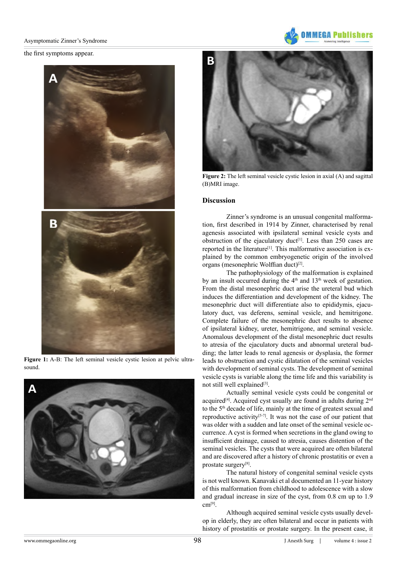#### Asymptomatic Zinner's Syndrome

the first symptoms appear.



**Figure 1:** A-B: The left seminal vesicle cystic lesion at pelvic ultrasound.





**Figure 2:** The left seminal vesicle cystic lesion in axial (A) and sagittal (B)MRI image.

### **Discussion**

Zinner's syndrome is an unusual congenital malformation, first described in 1914 by Zinner, characterised by renal agenesis associated with ipsilateral seminal vesicle cysts and obstruction of the ejaculatory duct<sup>[\[1\]](#page-2-0)</sup>. Less than 250 cases are reported in the literature<sup>[1]</sup>. This malformative association is explained by the common embryogenetic origin of the involved organs (mesonephric Wolffian duct)<sup>[2]</sup>.

The pathophysiology of the malformation is explained by an insult occurred during the  $4<sup>th</sup>$  and  $13<sup>th</sup>$  week of gestation. From the distal mesonephric duct arise the ureteral bud which induces the differentiation and development of the kidney. The mesonephric duct will differentiate also to epididymis, ejaculatory duct, vas deferens, seminal vesicle, and hemitrigone. Complete failure of the mesonephric duct results to absence of ipsilateral kidney, ureter, hemitrigone, and seminal vesicle. Anomalous development of the distal mesonephric duct results to atresia of the ejaculatory ducts and abnormal ureteral budding; the latter leads to renal agenesis or dysplasia, the former leads to obstruction and cystic dilatation of the seminal vesicles with development of seminal cysts. The development of seminal vesicle cysts is variable along the time life and this variability is not still well explained<sup>[3]</sup>.

Actually seminal vesicle cysts could be congenital or acquired<sup>[4]</sup>. Acquired cyst usually are found in adults during 2<sup>nd</sup> to the 5<sup>th</sup> decade of life, mainly at the time of greatest sexual and reproductive activity<sup>[5-7]</sup>. It was not the case of our patient that was older with a sudden and late onset of the seminal vesicle occurrence. A cyst is formed when secretions in the gland owing to insufficient drainage, caused to atresia, causes distention of the seminal vesicles. The cysts that were acquired are often bilateral and are discovered after a history of chronic prostatitis or even a prostate surgery[\[8\]](#page-2-5).

The natural history of congenital seminal vesicle cysts is not well known. Kanavaki et al documented an 11-year history of this malformation from childhood to adolescence with a slow and gradual increase in size of the cyst, from 0.8 cm up to 1.9 cm[\[9\].](#page-2-6)

Although acquired seminal vesicle cysts usually develop in elderly, they are often bilateral and occur in patients with history of prostatitis or prostate surgery. In the present case, it